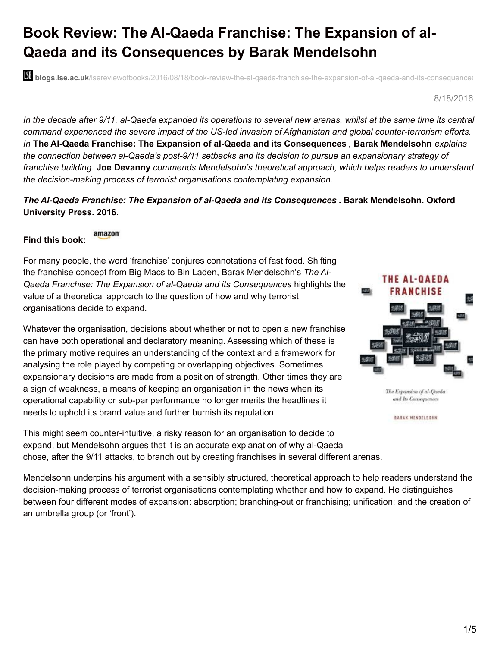## **Book Review: The Al-Qaeda Franchise: The Expansion of al-Qaeda and its Consequences by Barak Mendelsohn**

**bli blogs.lse.ac.uk**/lsereviewofbooks/2016/08/18/book-review-the-al-qaeda-franchise-the-expansion-of-al-qaeda-and-its-consequences

8/18/2016

In the decade after 9/11, al-Qaeda expanded its operations to several new arenas, whilst at the same time its central *command experienced the severe impact of the US-led invasion of Afghanistan and global counter-terrorism efforts. In* **The Al-Qaeda Franchise: The Expansion of al-Qaeda and its Consequences** *,* **Barak Mendelsohn** *explains the connection between al-Qaeda's post-9/11 setbacks and its decision to pursue an expansionary strategy of franchise building.* **Joe Devanny** *commends Mendelsohn's theoretical approach, which helps readers to understand the decision-making process of terrorist organisations contemplating expansion.*

*The Al-Qaeda Franchise: The Expansion of al-Qaeda and its Consequences* **. Barak Mendelsohn. Oxford University Press. 2016.**

amazon **Find this book:**

For many people, the word 'franchise' conjures connotations of fast food. Shifting the franchise concept from Big Macs to Bin Laden, Barak Mendelsohn's *The Al-Qaeda Franchise: The Expansion of al-Qaeda and its Consequences* highlights the value of a theoretical approach to the question of how and why terrorist organisations decide to expand.

Whatever the organisation, decisions about whether or not to open a new franchise can have both operational and declaratory meaning. Assessing which of these is the primary motive requires an understanding of the context and a framework for analysing the role played by competing or overlapping objectives. Sometimes expansionary decisions are made from a position of strength. Other times they are a sign of weakness, a means of keeping an organisation in the news when its operational capability or sub-par performance no longer merits the headlines it needs to uphold its brand value and further burnish its reputation.



The Expansion of al-Qaeda and Its Consequences

BARAK MENDELSOHN

This might seem counter-intuitive, a risky reason for an organisation to decide to expand, but Mendelsohn argues that it is an accurate explanation of why al-Qaeda chose, after the 9/11 attacks, to branch out by creating franchises in several different arenas.

Mendelsohn underpins his argument with a sensibly structured, theoretical approach to help readers understand the decision-making process of terrorist organisations contemplating whether and how to expand. He distinguishes between four different modes of expansion: absorption; branching-out or franchising; unification; and the creation of an umbrella group (or 'front').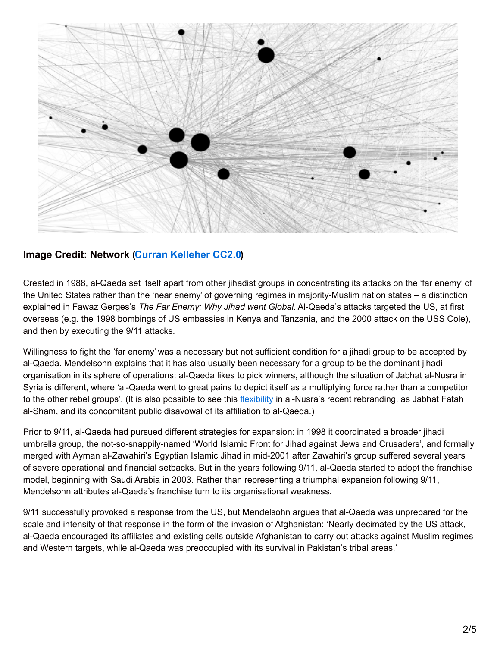

## **Image Credit: Network (Curran [Kelleher](https://www.flickr.com/photos/10604632@N02/5682724496/in/photolist-9Eas1y-5VjW7w-e8JnEy-d8vZdo-d4RxJ-aCPGRw-6dxJNT-c3QAdW-5VjW1b-9D14o7-3ZkerT-6qqJyb-4T1AeU-bmDGrJ-4SWn7k-4JfUS3-73ccvm-fQCoR-4SWne4-47wqFg-cZy7Z9-4JbDxZ-tdaT-dUdMsr-6rifmK-d9K1Bc-6qmzLv-bmDGtC-4JbGAF-4JfSyw-4SWmZV-4T1Aoy-4SWmYZ-bUC9L5-4JbEKz-4JbEAD-4JbFoH-4JfW7m-8DiV7w-4JfSpb-cZy7NN-4JfWyG-cZy7Cu-5UPLte-c351gC-6qqJJS-cZy86G-5Vj9vf-Kkzpq-7vojnr) CC2.0)**

Created in 1988, al-Qaeda set itself apart from other jihadist groups in concentrating its attacks on the 'far enemy' of the United States rather than the 'near enemy' of governing regimes in majority-Muslim nation states – a distinction explained in Fawaz Gerges's *The Far Enemy: Why Jihad went Global*. Al-Qaeda's attacks targeted the US, at first overseas (e.g. the 1998 bombings of US embassies in Kenya and Tanzania, and the 2000 attack on the USS Cole), and then by executing the 9/11 attacks.

Willingness to fight the 'far enemy' was a necessary but not sufficient condition for a jihadi group to be accepted by al-Qaeda. Mendelsohn explains that it has also usually been necessary for a group to be the dominant jihadi organisation in its sphere of operations: al-Qaeda likes to pick winners, although the situation of Jabhat al-Nusra in Syria is different, where 'al-Qaeda went to great pains to depict itself as a multiplying force rather than a competitor to the other rebel groups'. (It is also possible to see this [flexibility](https://www.washingtonpost.com/world/middle_east/syrias-jabhat-al-nusra-splits-from-al-qaeda-and-changes-its-name/2016/07/28/5b89ad22-54e6-11e6-b652-315ae5d4d4dd_story.html) in al-Nusra's recent rebranding, as Jabhat Fatah al-Sham, and its concomitant public disavowal of its affiliation to al-Qaeda.)

Prior to 9/11, al-Qaeda had pursued different strategies for expansion: in 1998 it coordinated a broader jihadi umbrella group, the not-so-snappily-named 'World Islamic Front for Jihad against Jews and Crusaders', and formally merged with Ayman al-Zawahiri's Egyptian Islamic Jihad in mid-2001 after Zawahiri's group suffered several years of severe operational and financial setbacks. But in the years following 9/11, al-Qaeda started to adopt the franchise model, beginning with Saudi Arabia in 2003. Rather than representing a triumphal expansion following 9/11, Mendelsohn attributes al-Qaeda's franchise turn to its organisational weakness.

9/11 successfully provoked a response from the US, but Mendelsohn argues that al-Qaeda was unprepared for the scale and intensity of that response in the form of the invasion of Afghanistan: 'Nearly decimated by the US attack, al-Qaeda encouraged its affiliates and existing cells outside Afghanistan to carry out attacks against Muslim regimes and Western targets, while al-Qaeda was preoccupied with its survival in Pakistan's tribal areas.'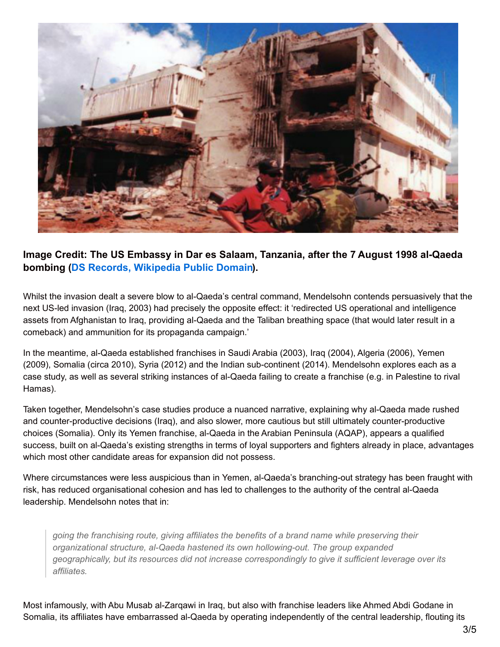

## **Image Credit: The US Embassy in Dar es Salaam, Tanzania, after the 7 August 1998 al-Qaeda bombing (DS Records, [Wikipedia](https://en.wikipedia.org/wiki/Operation_Infinite_Reach#/media/File:The_U.S._Embassy_in_Dar_es_Salaam,_Tanzania,_in_the_aftermath_of_the_August_7,_1998,_al-Qaida_suicide_bombing.jpg) Public Domain).**

Whilst the invasion dealt a severe blow to al-Qaeda's central command, Mendelsohn contends persuasively that the next US-led invasion (Iraq, 2003) had precisely the opposite effect: it 'redirected US operational and intelligence assets from Afghanistan to Iraq, providing al-Qaeda and the Taliban breathing space (that would later result in a comeback) and ammunition for its propaganda campaign.'

In the meantime, al-Qaeda established franchises in Saudi Arabia (2003), Iraq (2004), Algeria (2006), Yemen (2009), Somalia (circa 2010), Syria (2012) and the Indian sub-continent (2014). Mendelsohn explores each as a case study, as well as several striking instances of al-Qaeda failing to create a franchise (e.g. in Palestine to rival Hamas).

Taken together, Mendelsohn's case studies produce a nuanced narrative, explaining why al-Qaeda made rushed and counter-productive decisions (Iraq), and also slower, more cautious but still ultimately counter-productive choices (Somalia). Only its Yemen franchise, al-Qaeda in the Arabian Peninsula (AQAP), appears a qualified success, built on al-Qaeda's existing strengths in terms of loyal supporters and fighters already in place, advantages which most other candidate areas for expansion did not possess.

Where circumstances were less auspicious than in Yemen, al-Qaeda's branching-out strategy has been fraught with risk, has reduced organisational cohesion and has led to challenges to the authority of the central al-Qaeda leadership. Mendelsohn notes that in:

*going the franchising route, giving affiliates the benefits of a brand name while preserving their organizational structure, al-Qaeda hastened its own hollowing-out. The group expanded geographically, but its resources did not increase correspondingly to give it sufficient leverage over its affiliates.*

Most infamously, with Abu Musab al-Zarqawi in Iraq, but also with franchise leaders like Ahmed Abdi Godane in Somalia, its affiliates have embarrassed al-Qaeda by operating independently of the central leadership, flouting its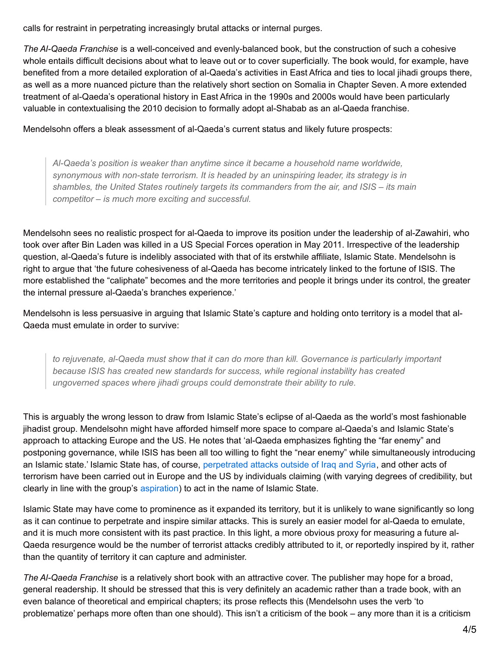calls for restraint in perpetrating increasingly brutal attacks or internal purges.

*The Al-Qaeda Franchise* is a well-conceived and evenly-balanced book, but the construction of such a cohesive whole entails difficult decisions about what to leave out or to cover superficially. The book would, for example, have benefited from a more detailed exploration of al-Qaeda's activities in East Africa and ties to local jihadi groups there, as well as a more nuanced picture than the relatively short section on Somalia in Chapter Seven. A more extended treatment of al-Qaeda's operational history in East Africa in the 1990s and 2000s would have been particularly valuable in contextualising the 2010 decision to formally adopt al-Shabab as an al-Qaeda franchise.

Mendelsohn offers a bleak assessment of al-Qaeda's current status and likely future prospects:

*Al-Qaeda's position is weaker than anytime since it became a household name worldwide, synonymous with non-state terrorism. It is headed by an uninspiring leader, its strategy is in shambles, the United States routinely targets its commanders from the air, and ISIS – its main competitor – is much more exciting and successful.*

Mendelsohn sees no realistic prospect for al-Qaeda to improve its position under the leadership of al-Zawahiri, who took over after Bin Laden was killed in a US Special Forces operation in May 2011. Irrespective of the leadership question, al-Qaeda's future is indelibly associated with that of its erstwhile affiliate, Islamic State. Mendelsohn is right to argue that 'the future cohesiveness of al-Qaeda has become intricately linked to the fortune of ISIS. The more established the "caliphate" becomes and the more territories and people it brings under its control, the greater the internal pressure al-Qaeda's branches experience.'

Mendelsohn is less persuasive in arguing that Islamic State's capture and holding onto territory is a model that al-Qaeda must emulate in order to survive:

*to rejuvenate, al-Qaeda must show that it can do more than kill. Governance is particularly important because ISIS has created new standards for success, while regional instability has created ungoverned spaces where jihadi groups could demonstrate their ability to rule.*

This is arguably the wrong lesson to draw from Islamic State's eclipse of al-Qaeda as the world's most fashionable jihadist group. Mendelsohn might have afforded himself more space to compare al-Qaeda's and Islamic State's approach to attacking Europe and the US. He notes that 'al-Qaeda emphasizes fighting the "far enemy" and postponing governance, while ISIS has been all too willing to fight the "near enemy" while simultaneously introducing an Islamic state.' Islamic State has, of course, [perpetrated](https://www.ctc.usma.edu/posts/the-paris-attacks-and-the-evolving-islamic-state-threat-to-france) attacks outside of Iraq and Syria, and other acts of terrorism have been carried out in Europe and the US by individuals claiming (with varying degrees of credibility, but clearly in line with the group's [aspiration](https://www.theguardian.com/world/2016/may/22/isis-leader-civilian-lone-wolf-attacks-us-europe)) to act in the name of Islamic State.

Islamic State may have come to prominence as it expanded its territory, but it is unlikely to wane significantly so long as it can continue to perpetrate and inspire similar attacks. This is surely an easier model for al-Qaeda to emulate, and it is much more consistent with its past practice. In this light, a more obvious proxy for measuring a future al-Qaeda resurgence would be the number of terrorist attacks credibly attributed to it, or reportedly inspired by it, rather than the quantity of territory it can capture and administer.

*The Al-Qaeda Franchise* is a relatively short book with an attractive cover. The publisher may hope for a broad, general readership. It should be stressed that this is very definitely an academic rather than a trade book, with an even balance of theoretical and empirical chapters; its prose reflects this (Mendelsohn uses the verb 'to problematize' perhaps more often than one should). This isn't a criticism of the book – any more than it is a criticism